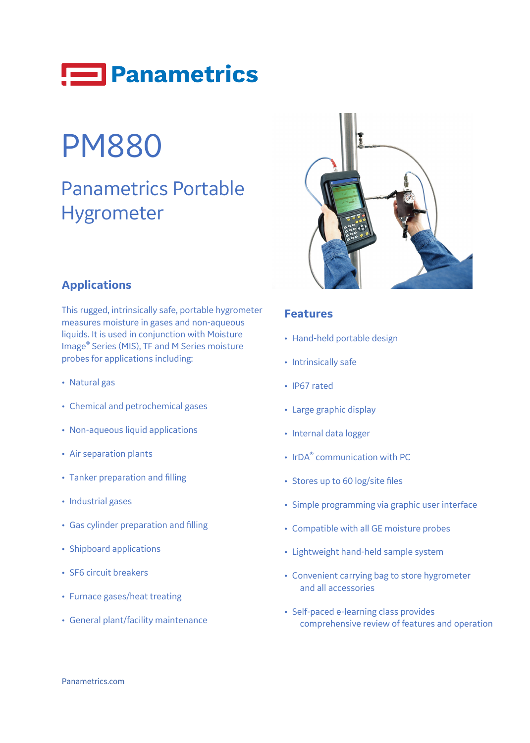

# PM880

## Panametrics Portable Hygrometer



### **Applications**

This rugged, intrinsically safe, portable hygrometer measures moisture in gases and non-aqueous liquids. It is used in conjunction with Moisture Image® Series (MIS), TF and M Series moisture probes for applications including:

- Natural gas
- Chemical and petrochemical gases
- Non-aqueous liquid applications
- Air separation plants
- Tanker preparation and filling
- Industrial gases
- Gas cylinder preparation and filling
- Shipboard applications
- SF6 circuit breakers
- Furnace gases/heat treating
- General plant/facility maintenance

#### **Features**

- Hand-held portable design
- Intrinsically safe
- IP67 rated
- Large graphic display
- Internal data logger
- IrDA<sup>®</sup> communication with PC
- Stores up to 60 log/site files
- Simple programming via graphic user interface
- Compatible with all GE moisture probes
- Lightweight hand-held sample system
- Convenient carrying bag to store hygrometer and all accessories
- Self-paced e-learning class provides comprehensive review of features and operation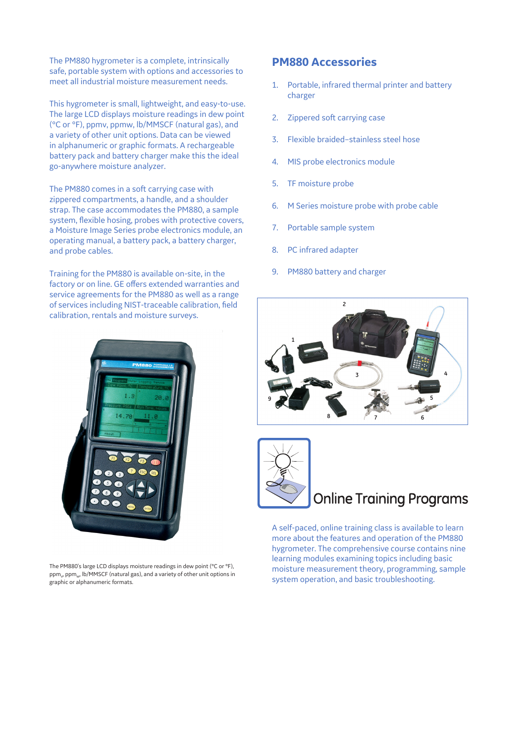The PM880 hygrometer is a complete, intrinsically safe, portable system with options and accessories to meet all industrial moisture measurement needs.

This hygrometer is small, lightweight, and easy-to-use. The large LCD displays moisture readings in dew point (°C or °F), ppmv, ppmw, lb/MMSCF (natural gas), and a variety of other unit options. Data can be viewed in alphanumeric or graphic formats. A rechargeable battery pack and battery charger make this the ideal go-anywhere moisture analyzer.

The PM880 comes in a soft carrying case with zippered compartments, a handle, and a shoulder strap. The case accommodates the PM880, a sample system, flexible hosing, probes with protective covers, a Moisture Image Series probe electronics module, an operating manual, a battery pack, a battery charger, and probe cables.

Training for the PM880 is available on-site, in the factory or on line. GE offers extended warranties and service agreements for the PM880 as well as a range of services including NIST-traceable calibration, field calibration, rentals and moisture surveys.

The PM880's large LCD displays moisture readings in dew point (°C or °F),  $ppm_{\nu}$ , ppm $_{\omega}$ , lb/MMSCF (natural gas), and a variety of other unit options in graphic or alphanumeric formats.

#### **PM880 Accessories**

- 1. Portable, infrared thermal printer and battery charger
- 2. Zippered soft carrying case
- 3. Flexible braided–stainless steel hose
- 4. MIS probe electronics module
- 5. TF moisture probe
- 6. M Series moisture probe with probe cable
- 7. Portable sample system
- 8. PC infrared adapter
- 9. PM880 battery and charger





### **Online Training Programs**

A self-paced, online training class is available to learn more about the features and operation of the PM880 hygrometer. The comprehensive course contains nine learning modules examining topics including basic moisture measurement theory, programming, sample system operation, and basic troubleshooting.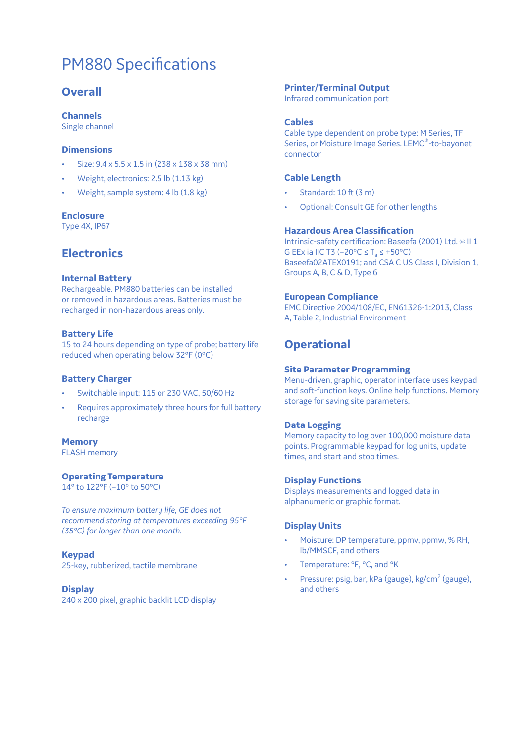### PM880 Specifications

#### **Overall**

#### **Channels**

Single channel

#### **Dimensions**

- Size: 9.4 x 5.5 x 1.5 in (238 x 138 x 38 mm)
- Weight, electronics: 2.5 lb (1.13 kg)
- Weight, sample system: 4 lb (1.8 kg)

#### **Enclosure**

Type 4X, IP67

#### **Electronics**

#### **Internal Battery**

Rechargeable. PM880 batteries can be installed or removed in hazardous areas. Batteries must be recharged in non-hazardous areas only.

#### **Battery Life**

15 to 24 hours depending on type of probe; battery life reduced when operating below 32°F (0°C)

#### **Battery Charger**

- Switchable input: 115 or 230 VAC, 50/60 Hz
- Requires approximately three hours for full battery recharge

#### **Memory**

FLASH memory

#### **Operating Temperature**

14° to 122°F (–10° to 50°C)

*To ensure maximum battery life, GE does not recommend storing at temperatures exceeding 95°F (35°C) for longer than one month.*

#### **Keypad**

25-key, rubberized, tactile membrane

#### **Display**

240 x 200 pixel, graphic backlit LCD display

#### **Printer/Terminal Output**

Infrared communication port

#### **Cables**

Cable type dependent on probe type: M Series, TF Series, or Moisture Image Series. LEMO®-to-bayonet connector

#### **Cable Length**

- Standard: 10 ft (3 m)
- Optional: Consult GE for other lengths

#### **Hazardous Area Classification**

Intrinsic-safety certification: Baseefa (2001) Ltd. @ II 1 G EEx ia IIC T3 (-20 $^{\circ}$ C  $\leq$  T<sub>2</sub>  $\leq$  +50 $^{\circ}$ C) Baseefa02ATEX0191; and CSA C US Class I, Division 1, Groups A, B, C & D, Type 6

#### **European Compliance**

EMC Directive 2004/108/EC, EN61326-1:2013, Class A, Table 2, Industrial Environment

#### **Operational**

#### **Site Parameter Programming**

Menu-driven, graphic, operator interface uses keypad and soft-function keys. Online help functions. Memory storage for saving site parameters.

#### **Data Logging**

Memory capacity to log over 100,000 moisture data points. Programmable keypad for log units, update times, and start and stop times.

#### **Display Functions**

Displays measurements and logged data in alphanumeric or graphic format.

#### **Display Units**

- Moisture: DP temperature, ppmv, ppmw, % RH, lb/MMSCF, and others
- Temperature: °F, °C, and °K
- Pressure: psig, bar, kPa (gauge),  $kg/cm<sup>2</sup>$  (gauge), and others